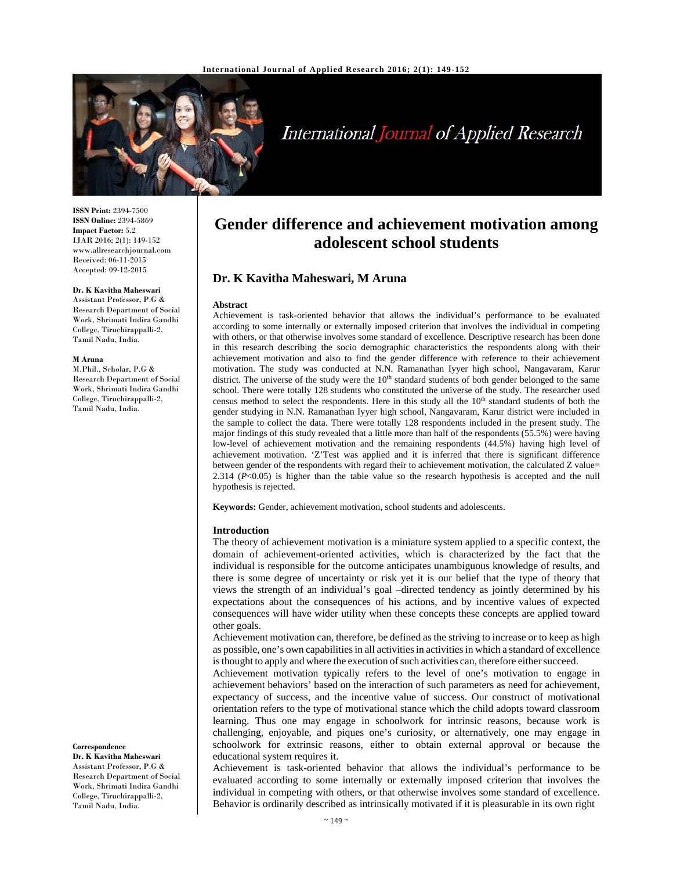

# International Journal of Applied Research

**ISSN Print:** 2394-7500 **ISSN Online:** 2394-5869 **Impact Factor:** 5.2 IJAR 2016; 2(1): 149-152 www.allresearchjournal.com Received: 06-11-2015 Accepted: 09-12-2015

## **Dr. K Kavitha Maheswari**

Assistant Professor, P.G & Research Department of Social Work, Shrimati Indira Gandhi College, Tiruchirappalli-2, Tamil Nadu, India.

#### **M Aruna**

M.Phil., Scholar, P.G & Research Department of Social Work, Shrimati Indira Gandhi College, Tiruchirappalli-2, Tamil Nadu, India.

**Gender difference and achievement motivation among adolescent school students**

# **Dr. K Kavitha Maheswari, M Aruna**

#### **Abstract**

Achievement is task-oriented behavior that allows the individual's performance to be evaluated according to some internally or externally imposed criterion that involves the individual in competing with others, or that otherwise involves some standard of excellence. Descriptive research has been done in this research describing the socio demographic characteristics the respondents along with their achievement motivation and also to find the gender difference with reference to their achievement motivation. The study was conducted at N.N. Ramanathan Iyyer high school, Nangavaram, Karur district. The universe of the study were the 10<sup>th</sup> standard students of both gender belonged to the same school. There were totally 128 students who constituted the universe of the study. The researcher used census method to select the respondents. Here in this study all the 10<sup>th</sup> standard students of both the gender studying in N.N. Ramanathan Iyyer high school, Nangavaram, Karur district were included in the sample to collect the data. There were totally 128 respondents included in the present study. The major findings of this study revealed that a little more than half of the respondents (55.5%) were having low-level of achievement motivation and the remaining respondents (44.5%) having high level of achievement motivation. 'Z'Test was applied and it is inferred that there is significant difference between gender of the respondents with regard their to achievement motivation, the calculated Z value= 2.314 (*P*<0.05) is higher than the table value so the research hypothesis is accepted and the null hypothesis is rejected.

**Keywords:** Gender, achievement motivation, school students and adolescents.

#### **Introduction**

The theory of achievement motivation is a miniature system applied to a specific context, the domain of achievement-oriented activities, which is characterized by the fact that the individual is responsible for the outcome anticipates unambiguous knowledge of results, and there is some degree of uncertainty or risk yet it is our belief that the type of theory that views the strength of an individual's goal –directed tendency as jointly determined by his expectations about the consequences of his actions, and by incentive values of expected consequences will have wider utility when these concepts these concepts are applied toward other goals.

Achievement motivation can, therefore, be defined as the striving to increase or to keep as high as possible, one's own capabilitiesin all activitiesin activitiesin which a standard of excellence is thought to apply and where the execution of such activities can, therefore either succeed.

Achievement motivation typically refers to the level of one's motivation to engage in achievement behaviors' based on the interaction of such parameters as need for achievement, expectancy of success, and the incentive value of success. Our construct of motivational orientation refers to the type of motivational stance which the child adopts toward classroom learning. Thus one may engage in schoolwork for intrinsic reasons, because work is challenging, enjoyable, and piques one's curiosity, or alternatively, one may engage in schoolwork for extrinsic reasons, either to obtain external approval or because the educational system requires it.

Achievement is task-oriented behavior that allows the individual's performance to be evaluated according to some internally or externally imposed criterion that involves the individual in competing with others, or that otherwise involves some standard of excellence. Behavior is ordinarily described as intrinsically motivated if it is pleasurable in its own right

**Correspondence**

**Dr. K Kavitha Maheswari** Assistant Professor, P.G & Research Department of Social Work, Shrimati Indira Gandhi College, Tiruchirappalli-2, Tamil Nadu, India.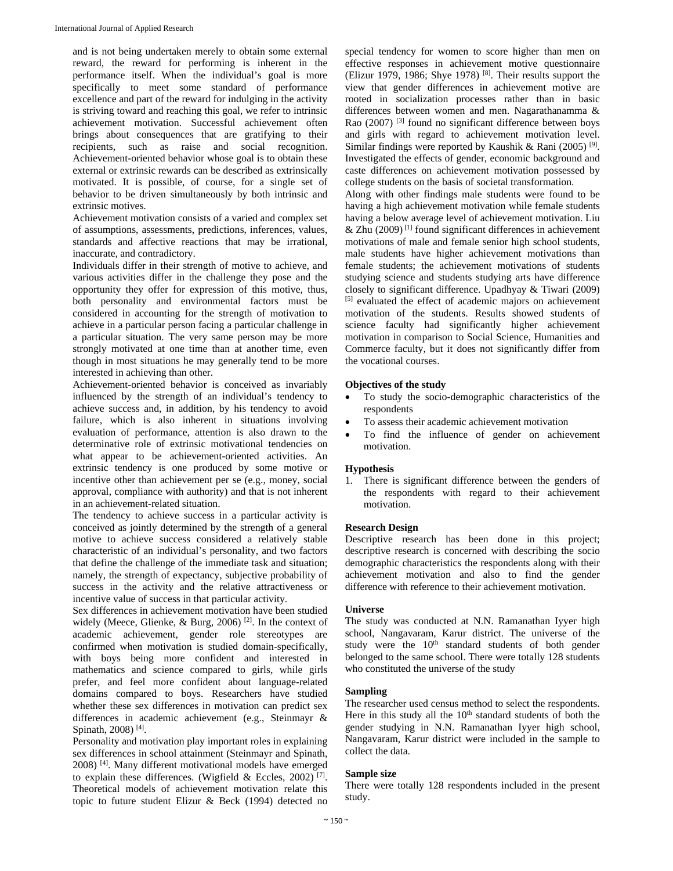and is not being undertaken merely to obtain some external reward, the reward for performing is inherent in the performance itself. When the individual's goal is more specifically to meet some standard of performance excellence and part of the reward for indulging in the activity is striving toward and reaching this goal, we refer to intrinsic achievement motivation. Successful achievement often brings about consequences that are gratifying to their recipients, such as raise and social recognition. Achievement-oriented behavior whose goal is to obtain these external or extrinsic rewards can be described as extrinsically motivated. It is possible, of course, for a single set of behavior to be driven simultaneously by both intrinsic and extrinsic motives.

Achievement motivation consists of a varied and complex set of assumptions, assessments, predictions, inferences, values, standards and affective reactions that may be irrational, inaccurate, and contradictory.

Individuals differ in their strength of motive to achieve, and various activities differ in the challenge they pose and the opportunity they offer for expression of this motive, thus, both personality and environmental factors must be considered in accounting for the strength of motivation to achieve in a particular person facing a particular challenge in a particular situation. The very same person may be more strongly motivated at one time than at another time, even though in most situations he may generally tend to be more interested in achieving than other.

Achievement-oriented behavior is conceived as invariably influenced by the strength of an individual's tendency to achieve success and, in addition, by his tendency to avoid failure, which is also inherent in situations involving evaluation of performance, attention is also drawn to the determinative role of extrinsic motivational tendencies on what appear to be achievement-oriented activities. An extrinsic tendency is one produced by some motive or incentive other than achievement per se (e.g., money, social approval, compliance with authority) and that is not inherent in an achievement-related situation.

The tendency to achieve success in a particular activity is conceived as jointly determined by the strength of a general motive to achieve success considered a relatively stable characteristic of an individual's personality, and two factors that define the challenge of the immediate task and situation; namely, the strength of expectancy, subjective probability of success in the activity and the relative attractiveness or incentive value of success in that particular activity.

Sex differences in achievement motivation have been studied widely (Meece, Glienke, & Burg, 2006)<sup>[2]</sup>. In the context of academic achievement, gender role stereotypes are confirmed when motivation is studied domain-specifically, with boys being more confident and interested in mathematics and science compared to girls, while girls prefer, and feel more confident about language-related domains compared to boys. Researchers have studied whether these sex differences in motivation can predict sex differences in academic achievement (e.g., Steinmayr & Spinath, 2008) [4].

Personality and motivation play important roles in explaining sex differences in school attainment (Steinmayr and Spinath, 2008) [4]. Many different motivational models have emerged to explain these differences. (Wigfield & Eccles, 2002) [7]. Theoretical models of achievement motivation relate this topic to future student Elizur & Beck (1994) detected no

special tendency for women to score higher than men on effective responses in achievement motive questionnaire (Elizur 1979, 1986; Shye 1978)  $[8]$ . Their results support the view that gender differences in achievement motive are rooted in socialization processes rather than in basic differences between women and men. Nagarathanamma & Rao (2007)<sup>[3]</sup> found no significant difference between boys and girls with regard to achievement motivation level. Similar findings were reported by Kaushik & Rani (2005)<sup>[9]</sup>. Investigated the effects of gender, economic background and caste differences on achievement motivation possessed by college students on the basis of societal transformation.

Along with other findings male students were found to be having a high achievement motivation while female students having a below average level of achievement motivation. Liu  $&$  Zhu (2009)<sup>[1]</sup> found significant differences in achievement motivations of male and female senior high school students, male students have higher achievement motivations than female students; the achievement motivations of students studying science and students studying arts have difference closely to significant difference. Upadhyay & Tiwari (2009) [5] evaluated the effect of academic majors on achievement motivation of the students. Results showed students of science faculty had significantly higher achievement motivation in comparison to Social Science, Humanities and Commerce faculty, but it does not significantly differ from the vocational courses.

## **Objectives of the study**

- To study the socio-demographic characteristics of the respondents
- To assess their academic achievement motivation
- To find the influence of gender on achievement motivation.

## **Hypothesis**

1. There is significant difference between the genders of the respondents with regard to their achievement motivation.

## **Research Design**

Descriptive research has been done in this project; descriptive research is concerned with describing the socio demographic characteristics the respondents along with their achievement motivation and also to find the gender difference with reference to their achievement motivation.

## **Universe**

The study was conducted at N.N. Ramanathan Iyyer high school, Nangavaram, Karur district. The universe of the study were the 10<sup>th</sup> standard students of both gender belonged to the same school. There were totally 128 students who constituted the universe of the study

## **Sampling**

The researcher used census method to select the respondents. Here in this study all the  $10<sup>th</sup>$  standard students of both the gender studying in N.N. Ramanathan Iyyer high school, Nangavaram, Karur district were included in the sample to collect the data.

## **Sample size**

There were totally 128 respondents included in the present study.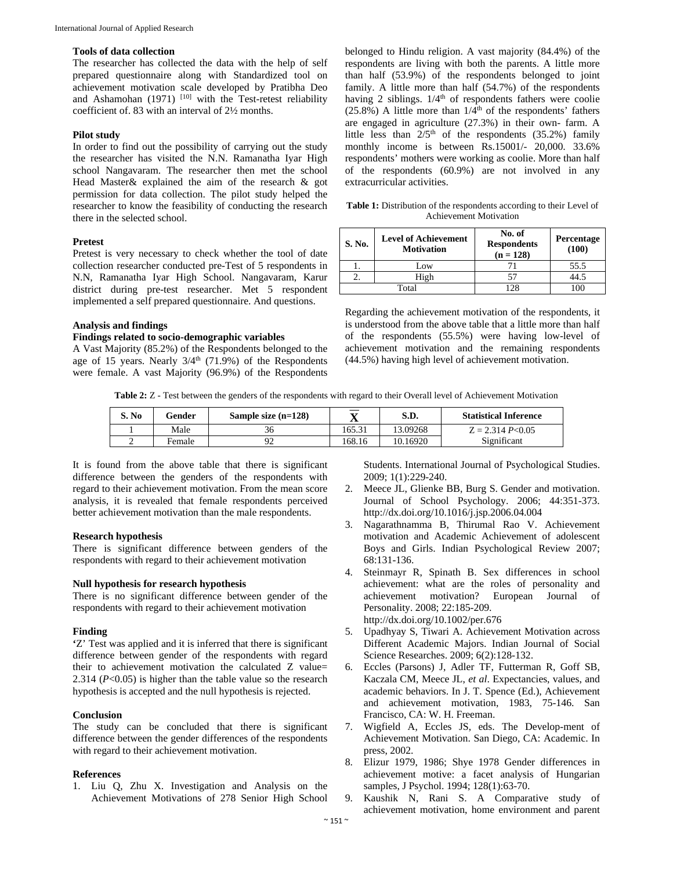## **Tools of data collection**

The researcher has collected the data with the help of self prepared questionnaire along with Standardized tool on achievement motivation scale developed by Pratibha Deo and Ashamohan  $(1971)$  <sup>[10]</sup> with the Test-retest reliability coefficient of. 83 with an interval of 2½ months.

## **Pilot study**

In order to find out the possibility of carrying out the study the researcher has visited the N.N. Ramanatha Iyar High school Nangavaram. The researcher then met the school Head Master& explained the aim of the research & got permission for data collection. The pilot study helped the researcher to know the feasibility of conducting the research there in the selected school.

## **Pretest**

Pretest is very necessary to check whether the tool of date collection researcher conducted pre-Test of 5 respondents in N.N, Ramanatha Iyar High School. Nangavaram, Karur district during pre-test researcher. Met 5 respondent implemented a self prepared questionnaire. And questions.

## **Analysis and findings**

## **Findings related to socio-demographic variables**

A Vast Majority (85.2%) of the Respondents belonged to the age of 15 years. Nearly  $3/4<sup>th</sup>$  (71.9%) of the Respondents were female. A vast Majority (96.9%) of the Respondents belonged to Hindu religion. A vast majority (84.4%) of the respondents are living with both the parents. A little more than half (53.9%) of the respondents belonged to joint family. A little more than half (54.7%) of the respondents having 2 siblings.  $1/4<sup>th</sup>$  of respondents fathers were coolie  $(25.8\%)$  A little more than  $1/\hat{4}^{\text{th}}$  of the respondents' fathers are engaged in agriculture (27.3%) in their own- farm. A little less than  $2/5<sup>th</sup>$  of the respondents (35.2%) family monthly income is between Rs.15001/- 20,000. 33.6% respondents' mothers were working as coolie. More than half of the respondents (60.9%) are not involved in any extracurricular activities.

Table 1: Distribution of the respondents according to their Level of Achievement Motivation

| S. No. | <b>Level of Achievement</b><br><b>Motivation</b> | No. of<br><b>Respondents</b><br>$(n = 128)$ | Percentage<br>(100) |
|--------|--------------------------------------------------|---------------------------------------------|---------------------|
|        | Low                                              |                                             | 55.5                |
|        | High                                             |                                             |                     |
|        | Total                                            |                                             |                     |

Regarding the achievement motivation of the respondents, it is understood from the above table that a little more than half of the respondents (55.5%) were having low-level of achievement motivation and the remaining respondents (44.5%) having high level of achievement motivation.

**Table 2:** Z - Test between the genders of the respondents with regard to their Overall level of Achievement Motivation

| S. No | Gender | Sample size $(n=128)$ | ∡ъ     | S.D.     | <b>Statistical Inference</b> |
|-------|--------|-----------------------|--------|----------|------------------------------|
|       | Male   | 36                    | 165.31 | 13.09268 | $Z = 2.314 P<0.05$           |
|       | Female |                       | 168.16 | 10.16920 | Significant                  |

It is found from the above table that there is significant difference between the genders of the respondents with regard to their achievement motivation. From the mean score analysis, it is revealed that female respondents perceived better achievement motivation than the male respondents.

## **Research hypothesis**

There is significant difference between genders of the respondents with regard to their achievement motivation

## **Null hypothesis for research hypothesis**

There is no significant difference between gender of the respondents with regard to their achievement motivation

## **Finding**

**'**Z' Test was applied and it is inferred that there is significant difference between gender of the respondents with regard their to achievement motivation the calculated Z value= 2.314 (*P*<0.05) is higher than the table value so the research hypothesis is accepted and the null hypothesis is rejected.

# **Conclusion**

The study can be concluded that there is significant difference between the gender differences of the respondents with regard to their achievement motivation.

### **References**

1. Liu Q, Zhu X. Investigation and Analysis on the Achievement Motivations of 278 Senior High School

Students. International Journal of Psychological Studies. 2009; 1(1):229-240.

- 2. Meece JL, Glienke BB, Burg S. Gender and motivation. Journal of School Psychology. 2006; 44:351-373. http://dx.doi.org/10.1016/j.jsp.2006.04.004
- 3. Nagarathnamma B, Thirumal Rao V. Achievement motivation and Academic Achievement of adolescent Boys and Girls. Indian Psychological Review 2007; 68:131-136.
- 4. Steinmayr R, Spinath B. Sex differences in school achievement: what are the roles of personality and achievement motivation? European Journal of Personality. 2008; 22:185-209. http://dx.doi.org/10.1002/per.676
- 5. Upadhyay S, Tiwari A. Achievement Motivation across Different Academic Majors. Indian Journal of Social Science Researches. 2009; 6(2):128-132.
- 6. Eccles (Parsons) J, Adler TF, Futterman R, Goff SB, Kaczala CM, Meece JL, *et al*. Expectancies, values, and academic behaviors. In J. T. Spence (Ed.), Achievement and achievement motivation, 1983, 75-146. San Francisco, CA: W. H. Freeman.
- 7. Wigfield A, Eccles JS, eds. The Develop-ment of Achievement Motivation. San Diego, CA: Academic. In press, 2002.
- 8. Elizur 1979, 1986; Shye 1978 Gender differences in achievement motive: a facet analysis of Hungarian samples, J Psychol. 1994; 128(1):63-70.
- 9. Kaushik N, Rani S. A Comparative study of achievement motivation, home environment and parent